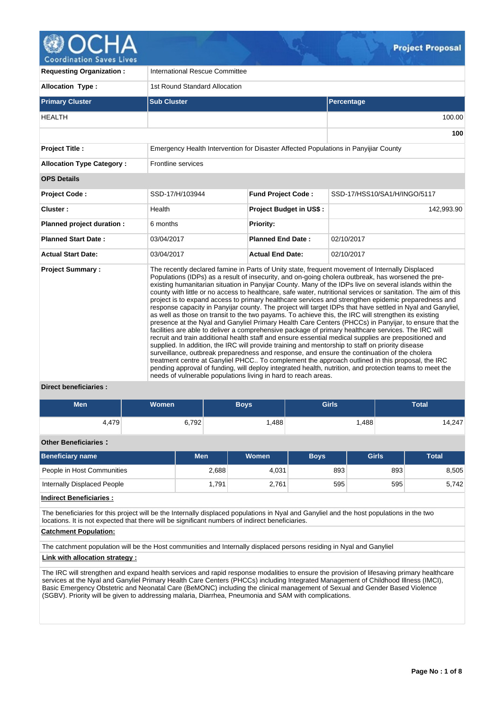

**Requesting Organization :** International Rescue Committee **Allocation Type :** 1st Round Standard Allocation **Primary Cluster Sub Cluster Sub Cluster** Sub Cluster Sub Cluster Sub Cluster Sub Cluster Sub Cluster Sub Cluster HEALTH 100.00 **100 Project Title :** Emergency Health Intervention for Disaster Affected Populations in Panyijiar County **Allocation Type Category :** Frontline services **OPS Details Project Code :** SSD-17/H/103944 **Fund Project Code :** SSD-17/HSS10/SA1/H/INGO/5117 **Cluster :** 142,993.90 **| Health | Realth | Project Budget in US\$ : 142,993.90** | 142,993.90 **Planned project duration :** 6 months **Planned Priority: Planned Start Date :** 03/04/2017 **Planned End Date :** 02/10/2017 **Actual Start Date:** 03/04/2017 **Actual End Date:** 02/10/2017 **Project Summary :** The recently declared famine in Parts of Unity state, frequent movement of Internally Displaced Populations (IDPs) as a result of insecurity, and on-going cholera outbreak, has worsened the preexisting humanitarian situation in Panyijar County. Many of the IDPs live on several islands within the county with little or no access to healthcare, safe water, nutritional services or sanitation. The aim of this project is to expand access to primary healthcare services and strengthen epidemic preparedness and response capacity in Panyijar county. The project will target IDPs that have settled in Nyal and Ganyliel, as well as those on transit to the two payams. To achieve this, the IRC will strengthen its existing presence at the Nyal and Ganyliel Primary Health Care Centers (PHCCs) in Panyijar, to ensure that the facilities are able to deliver a comprehensive package of primary healthcare services. The IRC will recruit and train additional health staff and ensure essential medical supplies are prepositioned and supplied. In addition, the IRC will provide training and mentorship to staff on priority disease surveillance, outbreak preparedness and response, and ensure the continuation of the cholera treatment centre at Ganyliel PHCC.. To complement the approach outlined in this proposal, the IRC pending approval of funding, will deploy integrated health, nutrition, and protection teams to meet the needs of vulnerable populations living in hard to reach areas.

# **Direct beneficiaries :**

| <b>Men</b> | <b>Women</b> | <b>Boys</b> | <b>Girls</b> | <b>Total</b> |
|------------|--------------|-------------|--------------|--------------|
| 4,479      | 6,792        | ا 488       | ,488         | 14,247       |

# **Other Beneficiaries :**

| <b>Beneficiary name</b>     | Men   | Women |     | <b>Girls</b> | <b>Total</b> |  |  |
|-----------------------------|-------|-------|-----|--------------|--------------|--|--|
| People in Host Communities  | 2,688 | 4.031 | 893 | 893          | 8,505        |  |  |
| Internally Displaced People | 1.791 | 2,761 | 595 | 595          | 5,742        |  |  |

**Indirect Beneficiaries :**

The beneficiaries for this project will be the Internally displaced populations in Nyal and Ganyliel and the host populations in the two locations. It is not expected that there will be significant numbers of indirect beneficiaries.

# **Catchment Population:**

The catchment population will be the Host communities and Internally displaced persons residing in Nyal and Ganyliel

# **Link with allocation strategy :**

The IRC will strengthen and expand health services and rapid response modalities to ensure the provision of lifesaving primary healthcare services at the Nyal and Ganyliel Primary Health Care Centers (PHCCs) including Integrated Management of Childhood Illness (IMCI), Basic Emergency Obstetric and Neonatal Care (BeMONC) including the clinical management of Sexual and Gender Based Violence (SGBV). Priority will be given to addressing malaria, Diarrhea, Pneumonia and SAM with complications.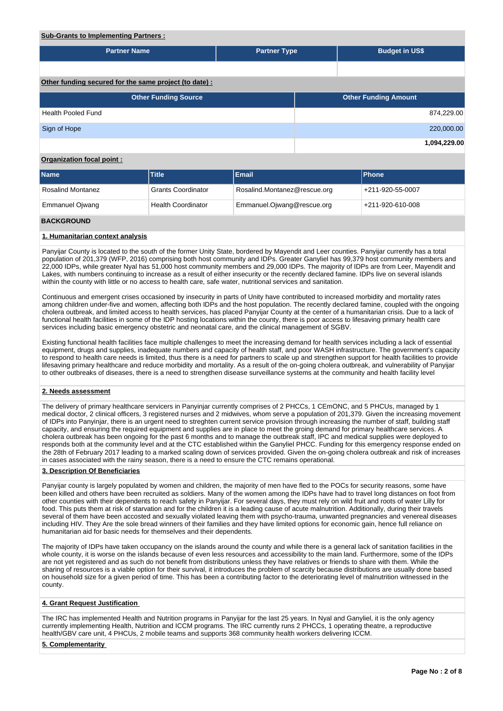# **Sub-Grants to Implementing Partners :**

| <b>Partner Name</b>                                    | <b>Partner Type</b> |  | <b>Budget in US\$</b>       |  |  |  |  |  |  |
|--------------------------------------------------------|---------------------|--|-----------------------------|--|--|--|--|--|--|
|                                                        |                     |  |                             |  |  |  |  |  |  |
|                                                        |                     |  |                             |  |  |  |  |  |  |
| Other funding secured for the same project (to date) : |                     |  |                             |  |  |  |  |  |  |
| <b>Other Funding Source</b>                            |                     |  | <b>Other Funding Amount</b> |  |  |  |  |  |  |
| <b>Health Pooled Fund</b>                              |                     |  | 874,229.00                  |  |  |  |  |  |  |
| Sign of Hope                                           |                     |  | 220,000.00                  |  |  |  |  |  |  |
|                                                        |                     |  | 1,094,229.00                |  |  |  |  |  |  |

# **Organization focal point :**

| <b>Name</b>            | <b>Title</b>              | <b>Email</b>                 | <b>IPhone</b>    |
|------------------------|---------------------------|------------------------------|------------------|
| Rosalind Montanez      | <b>Grants Coordinator</b> | Rosalind.Montanez@rescue.org | +211-920-55-0007 |
| <b>Emmanuel Ojwang</b> | <b>Health Coordinator</b> | Emmanuel.Ojwang@rescue.org   | +211-920-610-008 |
| -----------            |                           |                              |                  |

#### **BACKGROUND**

### **1. Humanitarian context analysis**

Panyijar County is located to the south of the former Unity State, bordered by Mayendit and Leer counties. Panyijar currently has a total population of 201,379 (WFP, 2016) comprising both host community and IDPs. Greater Ganyliel has 99,379 host community members and 22,000 IDPs, while greater Nyal has 51,000 host community members and 29,000 IDPs. The majority of IDPs are from Leer, Mayendit and Lakes, with numbers continuing to increase as a result of either insecurity or the recently declared famine. IDPs live on several islands within the county with little or no access to health care, safe water, nutritional services and sanitation.

Continuous and emergent crises occasioned by insecurity in parts of Unity have contributed to increased morbidity and mortality rates among children under-five and women, affecting both IDPs and the host population. The recently declared famine, coupled with the ongoing cholera outbreak, and limited access to health services, has placed Panyijar County at the center of a humanitarian crisis. Due to a lack of functional health facilities in some of the IDP hosting locations within the county, there is poor access to lifesaving primary health care services including basic emergency obstetric and neonatal care, and the clinical management of SGBV.

Existing functional health facilities face multiple challenges to meet the increasing demand for health services including a lack of essential equipment, drugs and supplies, inadequate numbers and capacity of health staff, and poor WASH infrastructure. The government's capacity to respond to health care needs is limited, thus there is a need for partners to scale up and strengthen support for health facilities to provide lifesaving primary healthcare and reduce morbidity and mortality. As a result of the on-going cholera outbreak, and vulnerability of Panyijar to other outbreaks of diseases, there is a need to strengthen disease surveillance systems at the community and health facility level

## **2. Needs assessment**

The delivery of primary healthcare servicers in Panyinjar currently comprises of 2 PHCCs, 1 CEmONC, and 5 PHCUs, managed by 1 medical doctor, 2 clinical officers, 3 registered nurses and 2 midwives, whom serve a population of 201,379. Given the increasing movement of IDPs into Panyinjar, there is an urgent need to streghten current service provision through increasing the number of staff, building staff capacity, and ensuring the required equipment and supplies are in place to meet the groing demand for primary healthcare services. A cholera outbreak has been ongoing for the past 6 months and to manage the outbreak staff, IPC and medical supplies were deployed to responds both at the community level and at the CTC established within the Ganyliel PHCC. Funding for this emergency response ended on the 28th of February 2017 leading to a marked scaling down of services provided. Given the on-going cholera outbreak and risk of increases in cases associated with the rainy season, there is a need to ensure the CTC remains operational.

#### **3. Description Of Beneficiaries**

Panyijar county is largely populated by women and children, the majority of men have fled to the POCs for security reasons, some have been killed and others have been recruited as soldiers. Many of the women among the IDPs have had to travel long distances on foot from other counties with their dependents to reach safety in Panyijar. For several days, they must rely on wild fruit and roots of water Lilly for food. This puts them at risk of starvation and for the children it is a leading cause of acute malnutrition. Additionally, during their travels several of them have been accosted and sexually violated leaving them with psycho-trauma, unwanted pregnancies and venereal diseases including HIV. They Are the sole bread winners of their families and they have limited options for economic gain, hence full reliance on humanitarian aid for basic needs for themselves and their dependents.

The majority of IDPs have taken occupancy on the islands around the county and while there is a general lack of sanitation facilities in the whole county, it is worse on the islands because of even less resources and accessibility to the main land. Furthermore, some of the IDPs are not yet registered and as such do not benefit from distributions unless they have relatives or friends to share with them. While the sharing of resources is a viable option for their survival, it introduces the problem of scarcity because distributions are usually done based on household size for a given period of time. This has been a contributing factor to the deteriorating level of malnutrition witnessed in the county.

## **4. Grant Request Justification**

The IRC has implemented Health and Nutrition programs in Panyijar for the last 25 years. In Nyal and Ganyliel, it is the only agency currently implementing Health, Nutrition and ICCM programs. The IRC currently runs 2 PHCCs, 1 operating theatre, a reproductive health/GBV care unit, 4 PHCUs, 2 mobile teams and supports 368 community health workers delivering ICCM.

#### **5. Complementarity**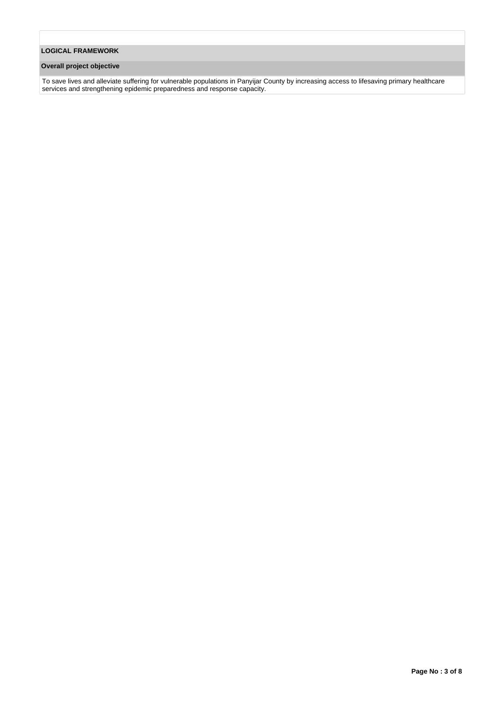# **LOGICAL FRAMEWORK**

# **Overall project objective**

To save lives and alleviate suffering for vulnerable populations in Panyijar County by increasing access to lifesaving primary healthcare services and strengthening epidemic preparedness and response capacity.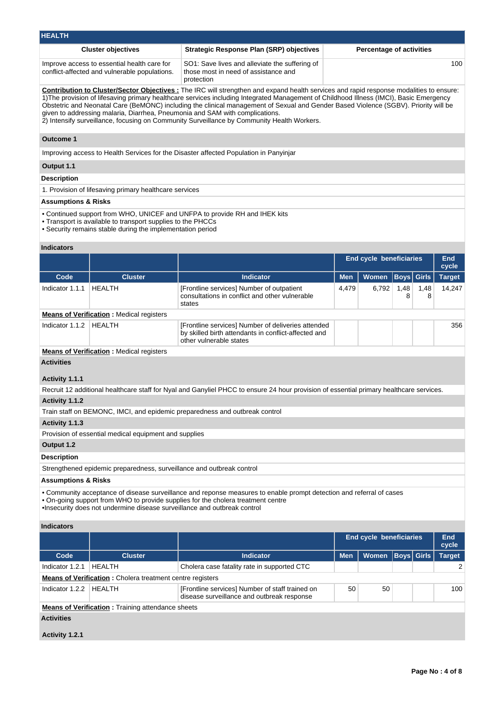| <b>HEALTH</b>                                                                                                                                                                                        |                                                                                                                           |                                                                                                                                                                                                                                                                                                                                                                                                                                                                                                                                                                                                         |            |                                 |                   |                   |                     |
|------------------------------------------------------------------------------------------------------------------------------------------------------------------------------------------------------|---------------------------------------------------------------------------------------------------------------------------|---------------------------------------------------------------------------------------------------------------------------------------------------------------------------------------------------------------------------------------------------------------------------------------------------------------------------------------------------------------------------------------------------------------------------------------------------------------------------------------------------------------------------------------------------------------------------------------------------------|------------|---------------------------------|-------------------|-------------------|---------------------|
|                                                                                                                                                                                                      | <b>Cluster objectives</b>                                                                                                 | <b>Strategic Response Plan (SRP) objectives</b>                                                                                                                                                                                                                                                                                                                                                                                                                                                                                                                                                         |            | <b>Percentage of activities</b> |                   |                   |                     |
| Improve access to essential health care for<br>SO1: Save lives and alleviate the suffering of<br>conflict-affected and vulnerable populations.<br>those most in need of assistance and<br>protection |                                                                                                                           |                                                                                                                                                                                                                                                                                                                                                                                                                                                                                                                                                                                                         |            |                                 |                   |                   | 100                 |
|                                                                                                                                                                                                      |                                                                                                                           | Contribution to Cluster/Sector Objectives : The IRC will strengthen and expand health services and rapid response modalities to ensure:<br>1) The provision of lifesaving primary healthcare services including Integrated Management of Childhood Illness (IMCI), Basic Emergency<br>Obstetric and Neonatal Care (BeMONC) including the clinical management of Sexual and Gender Based Violence (SGBV). Priority will be<br>given to addressing malaria, Diarrhea, Pneumonia and SAM with complications.<br>2) Intensify surveillance, focusing on Community Surveillance by Community Health Workers. |            |                                 |                   |                   |                     |
| <b>Outcome 1</b>                                                                                                                                                                                     |                                                                                                                           |                                                                                                                                                                                                                                                                                                                                                                                                                                                                                                                                                                                                         |            |                                 |                   |                   |                     |
|                                                                                                                                                                                                      |                                                                                                                           | Improving access to Health Services for the Disaster affected Population in Panyinjar                                                                                                                                                                                                                                                                                                                                                                                                                                                                                                                   |            |                                 |                   |                   |                     |
| Output 1.1                                                                                                                                                                                           |                                                                                                                           |                                                                                                                                                                                                                                                                                                                                                                                                                                                                                                                                                                                                         |            |                                 |                   |                   |                     |
| <b>Description</b>                                                                                                                                                                                   |                                                                                                                           |                                                                                                                                                                                                                                                                                                                                                                                                                                                                                                                                                                                                         |            |                                 |                   |                   |                     |
|                                                                                                                                                                                                      | 1. Provision of lifesaving primary healthcare services                                                                    |                                                                                                                                                                                                                                                                                                                                                                                                                                                                                                                                                                                                         |            |                                 |                   |                   |                     |
| <b>Assumptions &amp; Risks</b>                                                                                                                                                                       |                                                                                                                           |                                                                                                                                                                                                                                                                                                                                                                                                                                                                                                                                                                                                         |            |                                 |                   |                   |                     |
|                                                                                                                                                                                                      | • Transport is available to transport supplies to the PHCCs<br>• Security remains stable during the implementation period | . Continued support from WHO, UNICEF and UNFPA to provide RH and IHEK kits                                                                                                                                                                                                                                                                                                                                                                                                                                                                                                                              |            |                                 |                   |                   |                     |
| <b>Indicators</b>                                                                                                                                                                                    |                                                                                                                           |                                                                                                                                                                                                                                                                                                                                                                                                                                                                                                                                                                                                         |            |                                 |                   |                   |                     |
|                                                                                                                                                                                                      |                                                                                                                           |                                                                                                                                                                                                                                                                                                                                                                                                                                                                                                                                                                                                         |            | <b>End cycle beneficiaries</b>  |                   |                   | <b>End</b>          |
|                                                                                                                                                                                                      |                                                                                                                           |                                                                                                                                                                                                                                                                                                                                                                                                                                                                                                                                                                                                         |            |                                 |                   |                   | cycle               |
| Code                                                                                                                                                                                                 | <b>Cluster</b>                                                                                                            | <b>Indicator</b>                                                                                                                                                                                                                                                                                                                                                                                                                                                                                                                                                                                        | <b>Men</b> | <b>Women</b>                    |                   | <b>Boys</b> Girls | <b>Target</b>       |
| Indicator 1.1.1                                                                                                                                                                                      | <b>HEALTH</b>                                                                                                             | [Frontline services] Number of outpatient<br>consultations in conflict and other vulnerable<br>states                                                                                                                                                                                                                                                                                                                                                                                                                                                                                                   | 4,479      | 6,792                           | 1,48<br>8         | 1,48<br>8         | 14,247              |
|                                                                                                                                                                                                      | <b>Means of Verification:</b> Medical registers                                                                           |                                                                                                                                                                                                                                                                                                                                                                                                                                                                                                                                                                                                         |            |                                 |                   |                   |                     |
| Indicator 1.1.2                                                                                                                                                                                      | <b>HEALTH</b>                                                                                                             | [Frontline services] Number of deliveries attended<br>by skilled birth attendants in conflict-affected and<br>other vulnerable states                                                                                                                                                                                                                                                                                                                                                                                                                                                                   |            |                                 |                   |                   | 356                 |
|                                                                                                                                                                                                      | <b>Means of Verification:</b> Medical registers                                                                           |                                                                                                                                                                                                                                                                                                                                                                                                                                                                                                                                                                                                         |            |                                 |                   |                   |                     |
| <b>Activities</b>                                                                                                                                                                                    |                                                                                                                           |                                                                                                                                                                                                                                                                                                                                                                                                                                                                                                                                                                                                         |            |                                 |                   |                   |                     |
| Activity 1.1.1                                                                                                                                                                                       |                                                                                                                           |                                                                                                                                                                                                                                                                                                                                                                                                                                                                                                                                                                                                         |            |                                 |                   |                   |                     |
|                                                                                                                                                                                                      |                                                                                                                           | Recruit 12 additional healthcare staff for Nyal and Ganyliel PHCC to ensure 24 hour provision of essential primary healthcare services.                                                                                                                                                                                                                                                                                                                                                                                                                                                                 |            |                                 |                   |                   |                     |
| Activity 1.1.2                                                                                                                                                                                       |                                                                                                                           |                                                                                                                                                                                                                                                                                                                                                                                                                                                                                                                                                                                                         |            |                                 |                   |                   |                     |
|                                                                                                                                                                                                      |                                                                                                                           | Train staff on BEMONC, IMCI, and epidemic preparedness and outbreak control                                                                                                                                                                                                                                                                                                                                                                                                                                                                                                                             |            |                                 |                   |                   |                     |
| Activity 1.1.3                                                                                                                                                                                       | Provision of essential medical equipment and supplies                                                                     |                                                                                                                                                                                                                                                                                                                                                                                                                                                                                                                                                                                                         |            |                                 |                   |                   |                     |
| Output 1.2                                                                                                                                                                                           |                                                                                                                           |                                                                                                                                                                                                                                                                                                                                                                                                                                                                                                                                                                                                         |            |                                 |                   |                   |                     |
|                                                                                                                                                                                                      |                                                                                                                           |                                                                                                                                                                                                                                                                                                                                                                                                                                                                                                                                                                                                         |            |                                 |                   |                   |                     |
| <b>Description</b>                                                                                                                                                                                   | Strengthened epidemic preparedness, surveillance and outbreak control                                                     |                                                                                                                                                                                                                                                                                                                                                                                                                                                                                                                                                                                                         |            |                                 |                   |                   |                     |
| <b>Assumptions &amp; Risks</b>                                                                                                                                                                       |                                                                                                                           |                                                                                                                                                                                                                                                                                                                                                                                                                                                                                                                                                                                                         |            |                                 |                   |                   |                     |
|                                                                                                                                                                                                      | . Insecurity does not undermine disease surveillance and outbreak control                                                 | • Community acceptance of disease surveillance and reponse measures to enable prompt detection and referral of cases<br>• On-going support from WHO to provide supplies for the cholera treatment centre                                                                                                                                                                                                                                                                                                                                                                                                |            |                                 |                   |                   |                     |
| <b>Indicators</b>                                                                                                                                                                                    |                                                                                                                           |                                                                                                                                                                                                                                                                                                                                                                                                                                                                                                                                                                                                         |            |                                 |                   |                   |                     |
|                                                                                                                                                                                                      |                                                                                                                           |                                                                                                                                                                                                                                                                                                                                                                                                                                                                                                                                                                                                         |            | <b>End cycle beneficiaries</b>  |                   |                   | <b>End</b><br>cycle |
| Code                                                                                                                                                                                                 | <b>Cluster</b>                                                                                                            | <b>Indicator</b>                                                                                                                                                                                                                                                                                                                                                                                                                                                                                                                                                                                        | <b>Men</b> | Women                           | <b>Boys</b> Girls |                   | <b>Target</b>       |
| Indicator 1.2.1                                                                                                                                                                                      | <b>HEALTH</b>                                                                                                             | Cholera case fatality rate in supported CTC                                                                                                                                                                                                                                                                                                                                                                                                                                                                                                                                                             |            |                                 |                   |                   | 2                   |
|                                                                                                                                                                                                      | <b>Means of Verification :</b> Cholera treatment centre registers                                                         |                                                                                                                                                                                                                                                                                                                                                                                                                                                                                                                                                                                                         |            |                                 |                   |                   |                     |
| <b>HEALTH</b><br>[Frontline services] Number of staff trained on<br>50<br>50<br>Indicator 1.2.2<br>disease surveillance and outbreak response                                                        |                                                                                                                           |                                                                                                                                                                                                                                                                                                                                                                                                                                                                                                                                                                                                         |            |                                 |                   |                   | 100                 |
|                                                                                                                                                                                                      | <b>Means of Verification</b> : Training attendance sheets                                                                 |                                                                                                                                                                                                                                                                                                                                                                                                                                                                                                                                                                                                         |            |                                 |                   |                   |                     |
| <b>Activities</b>                                                                                                                                                                                    |                                                                                                                           |                                                                                                                                                                                                                                                                                                                                                                                                                                                                                                                                                                                                         |            |                                 |                   |                   |                     |

**Activity 1.2.1**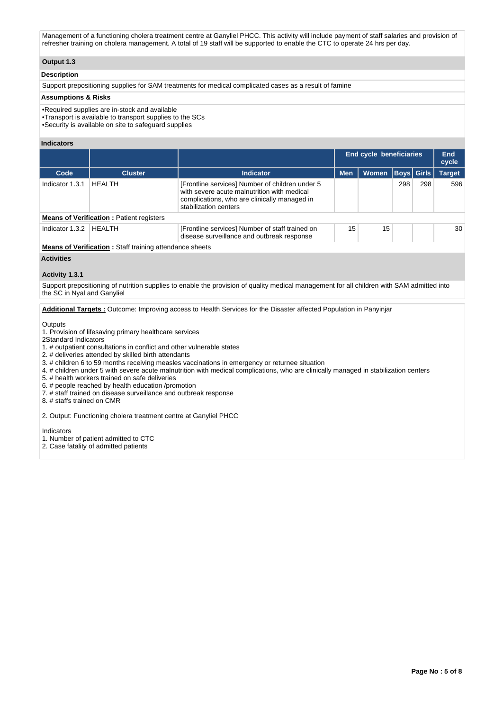Management of a functioning cholera treatment centre at Ganyliel PHCC. This activity will include payment of staff salaries and provision of refresher training on cholera management. A total of 19 staff will be supported to enable the CTC to operate 24 hrs per day.

# **Output 1.3**

### **Description**

Support prepositioning supplies for SAM treatments for medical complicated cases as a result of famine

### **Assumptions & Risks**

•Required supplies are in-stock and available •Transport is available to transport supplies to the SCs •Security is available on site to safeguard supplies

### **Indicators**

|                                                         |                                                 |                                                                                                                                                                         | End cycle beneficiaries | End<br>cycle |                   |     |               |
|---------------------------------------------------------|-------------------------------------------------|-------------------------------------------------------------------------------------------------------------------------------------------------------------------------|-------------------------|--------------|-------------------|-----|---------------|
| Code                                                    | <b>Cluster</b>                                  | <b>Indicator</b>                                                                                                                                                        | <b>Men</b>              | Women        | <b>Boys</b> Girls |     | <b>Target</b> |
| Indicator 1.3.1                                         | <b>HFAITH</b>                                   | [Frontline services] Number of children under 5<br>with severe acute malnutrition with medical<br>complications, who are clinically managed in<br>stabilization centers |                         |              | 298               | 298 | 596           |
|                                                         | <b>Means of Verification: Patient registers</b> |                                                                                                                                                                         |                         |              |                   |     |               |
| Indicator 1.3.2                                         | <b>HEALTH</b>                                   | [Frontline services] Number of staff trained on<br>disease surveillance and outbreak response                                                                           | 15                      | 15           |                   |     | 30            |
| Magne of Maulticetten : Otall turbing attractions about |                                                 |                                                                                                                                                                         |                         |              |                   |     |               |

**Means of Verification :** Staff training attendance sheets

# **Activities**

#### **Activity 1.3.1**

Support prepositioning of nutrition supplies to enable the provision of quality medical management for all children with SAM admitted into the SC in Nyal and Ganyliel

**Additional Targets :** Outcome: Improving access to Health Services for the Disaster affected Population in Panyinjar

#### **Outputs**

1. Provision of lifesaving primary healthcare services

- 2Standard Indicators
- 1. # outpatient consultations in conflict and other vulnerable states
- 2. # deliveries attended by skilled birth attendants
- 3. # children 6 to 59 months receiving measles vaccinations in emergency or returnee situation
- 4. # children under 5 with severe acute malnutrition with medical complications, who are clinically managed in stabilization centers
- 5. # health workers trained on safe deliveries
- 6. # people reached by health education /promotion
- 7. # staff trained on disease surveillance and outbreak response
- 8. # staffs trained on CMR

2. Output: Functioning cholera treatment centre at Ganyliel PHCC

#### Indicators

1. Number of patient admitted to CTC

2. Case fatality of admitted patients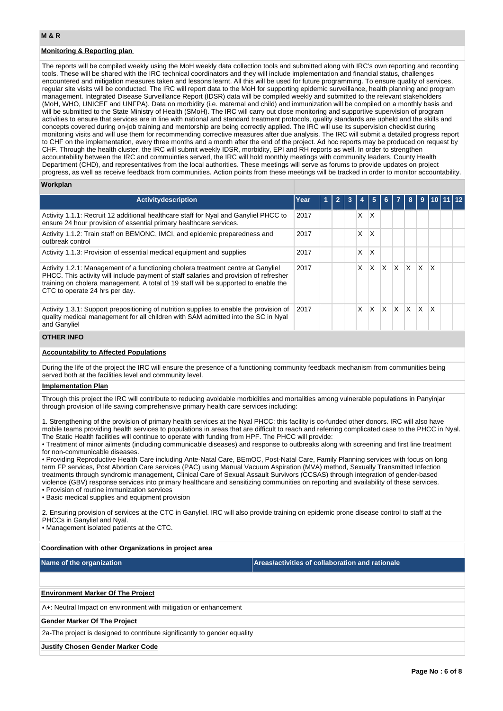# **Monitoring & Reporting plan**

The reports will be compiled weekly using the MoH weekly data collection tools and submitted along with IRC's own reporting and recording tools. These will be shared with the IRC technical coordinators and they will include implementation and financial status, challenges encountered and mitigation measures taken and lessons learnt. All this will be used for future programming. To ensure quality of services, regular site visits will be conducted. The IRC will report data to the MoH for supporting epidemic surveillance, health planning and program management. Integrated Disease Surveillance Report (IDSR) data will be compiled weekly and submitted to the relevant stakeholders (MoH, WHO, UNICEF and UNFPA). Data on morbidity (i.e. maternal and child) and immunization will be compiled on a monthly basis and will be submitted to the State Ministry of Health (SMoH). The IRC will carry out close monitoring and supportive supervision of program activities to ensure that services are in line with national and standard treatment protocols, quality standards are upheld and the skills and concepts covered during on-job training and mentorship are being correctly applied. The IRC will use its supervision checklist during monitoring visits and will use them for recommending corrective measures after due analysis. The IRC will submit a detailed progress report to CHF on the implementation, every three months and a month after the end of the project. Ad hoc reports may be produced on request by CHF. Through the health cluster, the IRC will submit weekly IDSR, morbidity, EPI and RH reports as well. In order to strengthen accountability between the IRC and commuinties served, the IRC will hold monthly meetings with community leaders, County Health Department (CHD), and representatives from the local authorities. These meetings will serve as forums to provide updates on project progress, as well as receive feedback from communities. Action points from these meetings will be tracked in order to monitor accountability.

#### **Workplan**

| <b>Activitydescription</b>                                                                                                                                                                                                                                                                         | Year |  |   |   |              |              |    | 9        |              |  |
|----------------------------------------------------------------------------------------------------------------------------------------------------------------------------------------------------------------------------------------------------------------------------------------------------|------|--|---|---|--------------|--------------|----|----------|--------------|--|
| Activity 1.1.1: Recruit 12 additional healthcare staff for Nyal and Ganyliel PHCC to<br>ensure 24 hour provision of essential primary healthcare services.                                                                                                                                         | 2017 |  | X | X |              |              |    |          |              |  |
| Activity 1.1.2: Train staff on BEMONC, IMCI, and epidemic preparedness and<br>outbreak control                                                                                                                                                                                                     | 2017 |  | x | X |              |              |    |          |              |  |
| Activity 1.1.3: Provision of essential medical equipment and supplies                                                                                                                                                                                                                              | 2017 |  | X | X |              |              |    |          |              |  |
| Activity 1.2.1: Management of a functioning cholera treatment centre at Ganyliel<br>PHCC. This activity will include payment of staff salaries and provision of refresher<br>training on cholera management. A total of 19 staff will be supported to enable the<br>CTC to operate 24 hrs per day. | 2017 |  | X | X | X            | ΙX           | X  | <b>X</b> | $\mathsf{x}$ |  |
| Activity 1.3.1: Support prepositioning of nutrition supplies to enable the provision of<br>quality medical management for all children with SAM admitted into the SC in Nyal<br>and Ganyliel                                                                                                       | 2017 |  | x | X | $\mathsf{x}$ | $\mathsf{X}$ | X. | <b>X</b> | X            |  |

# **OTHER INFO**

#### **Accountability to Affected Populations**

During the life of the project the IRC will ensure the presence of a functioning community feedback mechanism from communities being served both at the facilities level and community level.

#### **Implementation Plan**

Through this project the IRC will contribute to reducing avoidable morbidities and mortalities among vulnerable populations in Panyinjar through provision of life saving comprehensive primary health care services including:

1. Strengthening of the provision of primary health services at the Nyal PHCC: this facility is co-funded other donors. IRC will also have mobile teams providing health services to populations in areas that are difficult to reach and referring complicated case to the PHCC in Nyal. The Static Health facilities will continue to operate with funding from HPF. The PHCC will provide:

• Treatment of minor ailments (including communicable diseases) and response to outbreaks along with screening and first line treatment for non-communicable diseases.

• Providing Reproductive Health Care including Ante-Natal Care, BEmOC, Post-Natal Care, Family Planning services with focus on long term FP services, Post Abortion Care services (PAC) using Manual Vacuum Aspiration (MVA) method, Sexually Transmitted Infection treatments through syndromic management, Clinical Care of Sexual Assault Survivors (CCSAS) through integration of gender-based violence (GBV) response services into primary healthcare and sensitizing communities on reporting and availability of these services. • Provision of routine immunization services

• Basic medical supplies and equipment provision

2. Ensuring provision of services at the CTC in Ganyliel. IRC will also provide training on epidemic prone disease control to staff at the PHCCs in Ganyliel and Nyal.

• Management isolated patients at the CTC.

#### **Coordination with other Organizations in project area**

**Name of the organization Areas/activities of collaboration and rationale** 

#### **Environment Marker Of The Project**

A+: Neutral Impact on environment with mitigation or enhancement

#### **Gender Marker Of The Project**

2a-The project is designed to contribute significantly to gender equality

#### **Justify Chosen Gender Marker Code**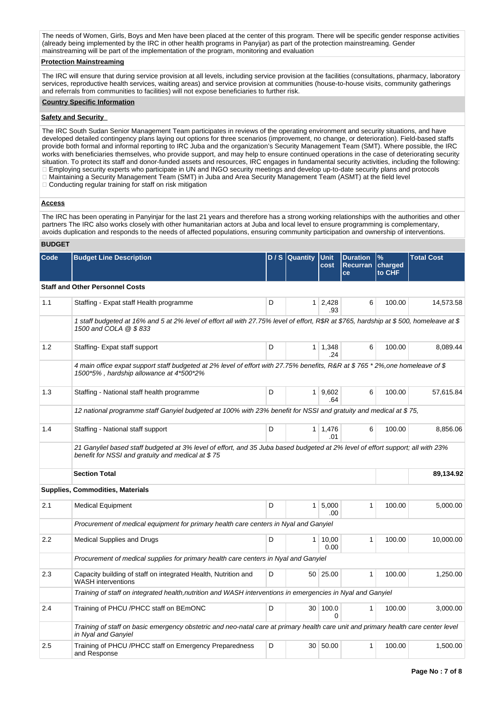The needs of Women, Girls, Boys and Men have been placed at the center of this program. There will be specific gender response activities (already being implemented by the IRC in other health programs in Panyijar) as part of the protection mainstreaming. Gender mainstreaming will be part of the implementation of the program, monitoring and evaluation

# **Protection Mainstreaming**

The IRC will ensure that during service provision at all levels, including service provision at the facilities (consultations, pharmacy, laboratory services, reproductive health services, waiting areas) and service provision at communities (house-to-house visits, community gatherings and referrals from communities to facilities) will not expose beneficiaries to further risk.

### **Country Specific Information**

# **Safety and Security**

The IRC South Sudan Senior Management Team participates in reviews of the operating environment and security situations, and have developed detailed contingency plans laying out options for three scenarios (improvement, no change, or deterioration). Field-based staffs provide both formal and informal reporting to IRC Juba and the organization's Security Management Team (SMT). Where possible, the IRC works with beneficiaries themselves, who provide support, and may help to ensure continued operations in the case of deteriorating security situation. To protect its staff and donor-funded assets and resources, IRC engages in fundamental security activities, including the following: Employing security experts who participate in UN and INGO security meetings and develop up-to-date security plans and protocols

- Maintaining a Security Management Team (SMT) in Juba and Area Security Management Team (ASMT) at the field level
- $\Box$  Conducting regular training for staff on risk mitigation

#### **Access**

The IRC has been operating in Panyinjar for the last 21 years and therefore has a strong working relationships with the authorities and other partners The IRC also works closely with other humanitarian actors at Juba and local level to ensure programming is complementary, avoids duplication and responds to the needs of affected populations, ensuring community participation and ownership of interventions.

# **BUDGET**

| Code | <b>Budget Line Description</b>                                                                                                                                                      |   | D / S Quantity | Unit<br>cost          | <b>Duration</b><br><b>Recurran</b><br>ce | $\%$<br>charged<br>to CHF | <b>Total Cost</b> |
|------|-------------------------------------------------------------------------------------------------------------------------------------------------------------------------------------|---|----------------|-----------------------|------------------------------------------|---------------------------|-------------------|
|      | <b>Staff and Other Personnel Costs</b>                                                                                                                                              |   |                |                       |                                          |                           |                   |
| 1.1  | Staffing - Expat staff Health programme                                                                                                                                             | 6 | 100.00         | 14,573.58             |                                          |                           |                   |
|      | 1 staff budgeted at 16% and 5 at 2% level of effort all with 27.75% level of effort, R\$R at \$765, hardship at \$500, homeleave at \$<br>1500 and COLA @ \$833                     |   |                |                       |                                          |                           |                   |
| 1.2  | Staffing-Expat staff support                                                                                                                                                        | D |                | $1 \mid 1,348$<br>.24 | 6                                        | 100.00                    | 8,089.44          |
|      | 4 main office expat support staff budgeted at 2% level of effort with 27.75% benefits, R&R at \$765 *2%, one homeleave of \$<br>1500*5%, hardship allowance at 4*500*2%             |   |                |                       |                                          |                           |                   |
| 1.3  | Staffing - National staff health programme                                                                                                                                          | D |                | 1   9,602<br>.64      | 6                                        | 100.00                    | 57,615.84         |
|      | 12 national programme staff Ganyiel budgeted at 100% with 23% benefit for NSSI and gratuity and medical at \$75,                                                                    |   |                |                       |                                          |                           |                   |
| 1.4  | Staffing - National staff support                                                                                                                                                   | D |                | $1 \mid 1,476$<br>.01 | 6                                        | 100.00                    | 8.856.06          |
|      | 21 Ganyliel based staff budgeted at 3% level of effort, and 35 Juba based budgeted at 2% level of effort support; all with 23%<br>benefit for NSSI and gratuity and medical at \$75 |   |                |                       |                                          |                           |                   |
|      | <b>Section Total</b>                                                                                                                                                                |   |                |                       |                                          |                           | 89,134.92         |
|      | <b>Supplies, Commodities, Materials</b>                                                                                                                                             |   |                |                       |                                          |                           |                   |
| 2.1  | <b>Medical Equipment</b>                                                                                                                                                            | D |                | $1 \, 5.000$<br>.00   | 1                                        | 100.00                    | 5.000.00          |
|      | Procurement of medical equipment for primary health care centers in Nyal and Ganyiel                                                                                                |   |                |                       |                                          |                           |                   |
| 2.2  | <b>Medical Supplies and Drugs</b>                                                                                                                                                   | D |                | 1 10.00<br>0.00       | 1                                        | 100.00                    | 10,000.00         |
|      | Procurement of medical supplies for primary health care centers in Nyal and Ganyiel                                                                                                 |   |                |                       |                                          |                           |                   |
| 2.3  | Capacity building of staff on integrated Health, Nutrition and<br><b>WASH</b> interventions                                                                                         | D |                | 50 25.00              | 1                                        | 100.00                    | 1,250.00          |
|      | Training of staff on integrated health, nutrition and WASH interventions in emergencies in Nyal and Ganyiel                                                                         |   |                |                       |                                          |                           |                   |
| 2.4  | Training of PHCU /PHCC staff on BEmONC                                                                                                                                              | D |                | 30 100.0<br>$\Omega$  | 1                                        | 100.00                    | 3,000.00          |
|      | Training of staff on basic emergency obstetric and neo-natal care at primary health care unit and primary health care center level<br>in Nyal and Ganyiel                           |   |                |                       |                                          |                           |                   |
| 2.5  | Training of PHCU /PHCC staff on Emergency Preparedness<br>and Response                                                                                                              | D |                | 30 50.00              | 1                                        | 100.00                    | 1,500.00          |